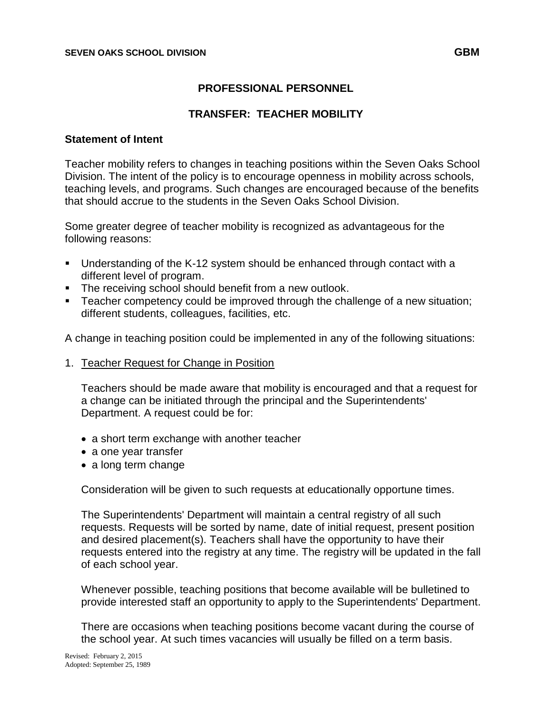#### **PROFESSIONAL PERSONNEL**

#### **TRANSFER: TEACHER MOBILITY**

#### **Statement of Intent**

Teacher mobility refers to changes in teaching positions within the Seven Oaks School Division. The intent of the policy is to encourage openness in mobility across schools, teaching levels, and programs. Such changes are encouraged because of the benefits that should accrue to the students in the Seven Oaks School Division.

Some greater degree of teacher mobility is recognized as advantageous for the following reasons:

- Understanding of the K-12 system should be enhanced through contact with a different level of program.
- **The receiving school should benefit from a new outlook.**
- Teacher competency could be improved through the challenge of a new situation; different students, colleagues, facilities, etc.

A change in teaching position could be implemented in any of the following situations:

1. Teacher Request for Change in Position

Teachers should be made aware that mobility is encouraged and that a request for a change can be initiated through the principal and the Superintendents' Department. A request could be for:

- a short term exchange with another teacher
- a one year transfer
- a long term change

Consideration will be given to such requests at educationally opportune times.

The Superintendents' Department will maintain a central registry of all such requests. Requests will be sorted by name, date of initial request, present position and desired placement(s). Teachers shall have the opportunity to have their requests entered into the registry at any time. The registry will be updated in the fall of each school year.

Whenever possible, teaching positions that become available will be bulletined to provide interested staff an opportunity to apply to the Superintendents' Department.

There are occasions when teaching positions become vacant during the course of the school year. At such times vacancies will usually be filled on a term basis.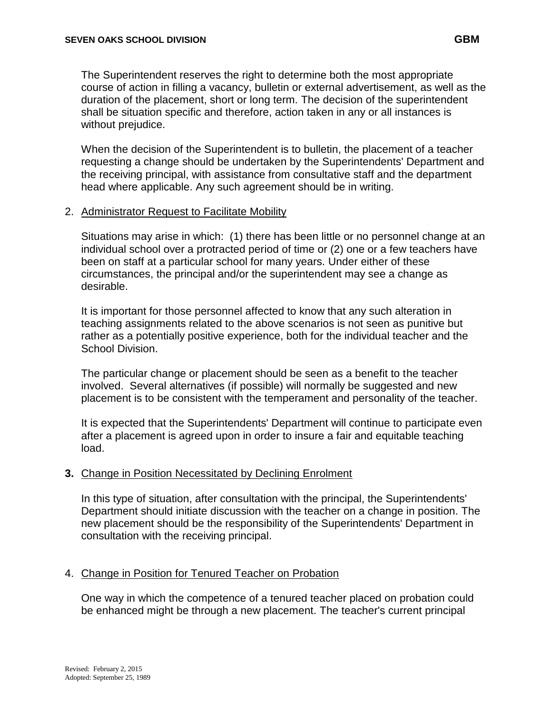The Superintendent reserves the right to determine both the most appropriate course of action in filling a vacancy, bulletin or external advertisement, as well as the duration of the placement, short or long term. The decision of the superintendent shall be situation specific and therefore, action taken in any or all instances is without prejudice.

When the decision of the Superintendent is to bulletin, the placement of a teacher requesting a change should be undertaken by the Superintendents' Department and the receiving principal, with assistance from consultative staff and the department head where applicable. Any such agreement should be in writing.

#### 2. Administrator Request to Facilitate Mobility

Situations may arise in which: (1) there has been little or no personnel change at an individual school over a protracted period of time or (2) one or a few teachers have been on staff at a particular school for many years. Under either of these circumstances, the principal and/or the superintendent may see a change as desirable.

It is important for those personnel affected to know that any such alteration in teaching assignments related to the above scenarios is not seen as punitive but rather as a potentially positive experience, both for the individual teacher and the School Division.

The particular change or placement should be seen as a benefit to the teacher involved. Several alternatives (if possible) will normally be suggested and new placement is to be consistent with the temperament and personality of the teacher.

It is expected that the Superintendents' Department will continue to participate even after a placement is agreed upon in order to insure a fair and equitable teaching load.

## **3.** Change in Position Necessitated by Declining Enrolment

In this type of situation, after consultation with the principal, the Superintendents' Department should initiate discussion with the teacher on a change in position. The new placement should be the responsibility of the Superintendents' Department in consultation with the receiving principal.

## 4. Change in Position for Tenured Teacher on Probation

One way in which the competence of a tenured teacher placed on probation could be enhanced might be through a new placement. The teacher's current principal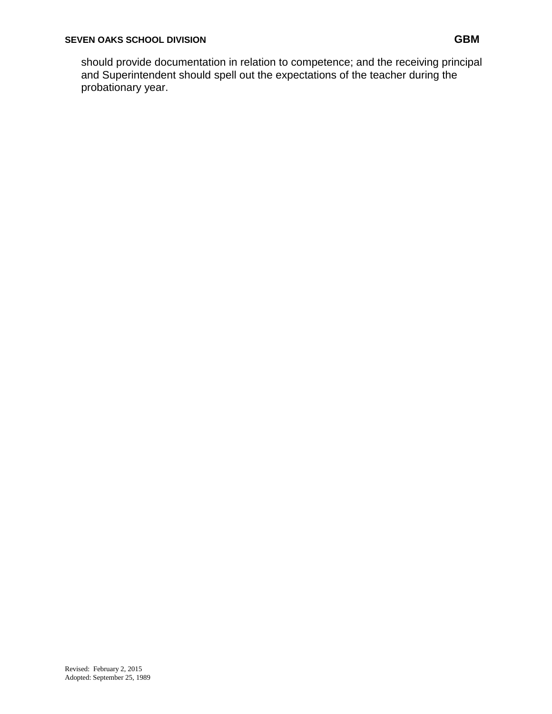should provide documentation in relation to competence; and the receiving principal and Superintendent should spell out the expectations of the teacher during the probationary year.